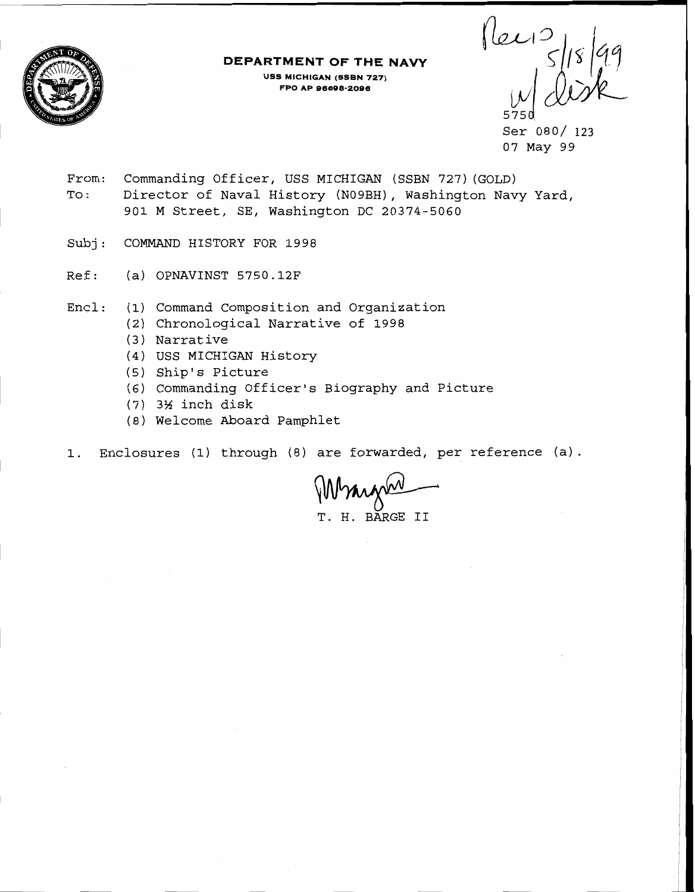

**DEPARTMENT OF THE NAVY USS MICHIGAN (SSBN 727) FPO AP 96696-2096** 

 $\begin{array}{c}\n\left| \ln \frac{1}{2} \right| & \text{if } \frac{1}{2} \\
\left| \frac{1}{2} \right| & \text{if } \frac{1}{2} \\
\left| \frac{1}{2} \right| & \text{if } \frac{1}{2} \\
\left| \frac{1}{2} \right| & \text{if } \frac{1}{2} \\
\left| \frac{1}{2} \right| & \text{if } \frac{1}{2} \\
\left| \frac{1}{2} \right| & \text{if } \frac{1}{2} \\
\left| \frac{1}{2} \right| & \text{if } \frac{1}{2} \\
\left| \frac{1}{2} \right| & \text{if } \frac$ 575d

Ser 080/ 123 07 May 99

- From: Commanding Officer, USS MICHIGAN (SSBN 727) (GOLD) To: Director of Naval History (N09BH), Washington Navy Yard, 901 M Street, SE, Washington DC 20374-5060
- Subj: COMMAND HISTORY FOR 1998
- Ref: (a) OPNAVINST 5750.12F
- $Encl:$ (1) Command Composition and Organization
	- Chronological Narrative of **1998**
	- (3) Narrative
	- USS MICHIGAN History
	- (5) Ship's Picture
	- Commanding Officer's Biography and Picture
	- **3%** inch disk
	- Welcome Aboard Pamphlet

1. Enclosures (1) through (8) are forwarded, per reference **(a)** .

Wranger

T. H. BARGE I1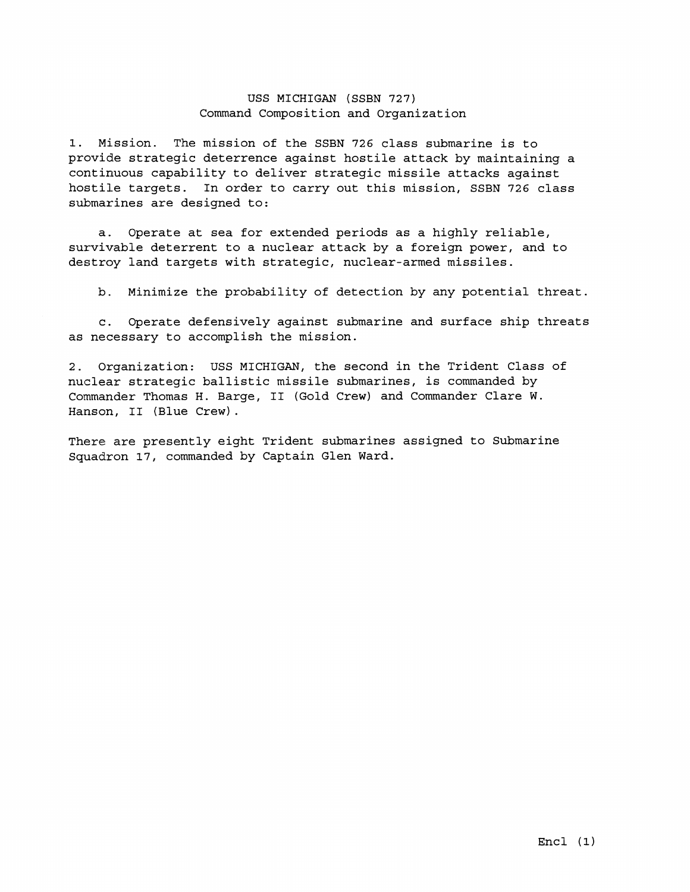## USS MICHIGAN (SSBN 727) Command Composition and Organization

1. Mission. The mission of the SSBN 726 class submarine is to provide strategic deterrence against hostile attack by maintaining a continuous capability to deliver strategic missile attacks against hostile targets. In order to carry out this mission, SSBN 726 class submarines are designed to:

a. Operate at sea for extended periods as a highly reliable, survivable deterrent to a nuclear attack by a foreign power, and to destroy land targets with strategic, nuclear-armed missiles.

b. Minimize the probability of detection by any potential threat.

c. Operate defensively against submarine and surface ship threats as necessary to accomplish the mission.

2. Organization: USS MICHIGAN, the second in the Trident Class of nuclear strategic ballistic missile submarines, is commanded by Commander Thomas H. Barge, I1 (Gold Crew) and Commander Clare W. Hanson, I1 (Blue Crew) .

There are presently eight Trident submarines assigned to Submarine Squadron 17, commanded by Captain Glen Ward.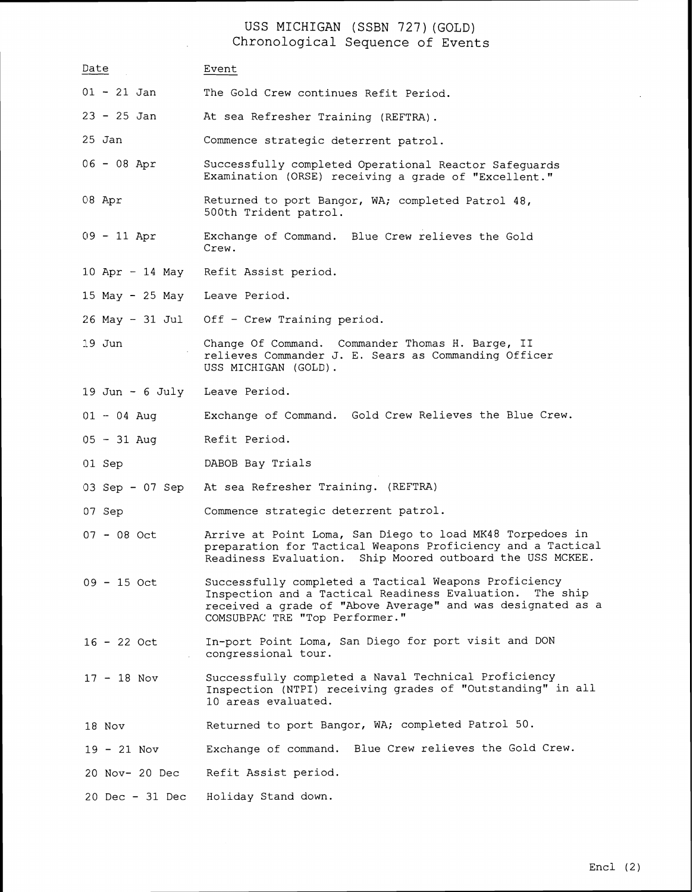USS MICHIGAN (SSBN 727) (GOLD) Chronological Sequence of Events

| Date                          | Event                                                                                                                                                                                                                 |
|-------------------------------|-----------------------------------------------------------------------------------------------------------------------------------------------------------------------------------------------------------------------|
| $01 - 21$ Jan                 | The Gold Crew continues Refit Period.                                                                                                                                                                                 |
| $23 - 25$ Jan                 | At sea Refresher Training (REFTRA).                                                                                                                                                                                   |
| 25 Jan                        | Commence strategic deterrent patrol.                                                                                                                                                                                  |
| $06 - 08$ Apr                 | Successfully completed Operational Reactor Safeguards<br>Examination (ORSE) receiving a grade of "Excellent."                                                                                                         |
| 08 Apr                        | Returned to port Bangor, WA; completed Patrol 48,<br>500th Trident patrol.                                                                                                                                            |
| $09 - 11$ Apr                 | Exchange of Command. Blue Crew relieves the Gold<br>Crew.                                                                                                                                                             |
|                               | 10 Apr - 14 May Refit Assist period.                                                                                                                                                                                  |
| 15 May - 25 May Leave Period. |                                                                                                                                                                                                                       |
|                               | 26 May - 31 Jul Off - Crew Training period.                                                                                                                                                                           |
| 19 Jun                        | Change Of Command. Commander Thomas H. Barge, II<br>relieves Commander J. E. Sears as Commanding Officer<br>USS MICHIGAN (GOLD).                                                                                      |
| 19 Jun - 6 July Leave Period. |                                                                                                                                                                                                                       |
| $01 - 04$ Aug                 | Exchange of Command. Gold Crew Relieves the Blue Crew.                                                                                                                                                                |
| $05 - 31$ Aug                 | Refit Period.                                                                                                                                                                                                         |
| 01 Sep                        | DABOB Bay Trials                                                                                                                                                                                                      |
| 03 Sep - 07 Sep               | At sea Refresher Training. (REFTRA)                                                                                                                                                                                   |
| 07 Sep                        | Commence strategic deterrent patrol.                                                                                                                                                                                  |
| $07 - 08$ Oct                 | Arrive at Point Loma, San Diego to load MK48 Torpedoes in<br>preparation for Tactical Weapons Proficiency and a Tactical<br>Readiness Evaluation. Ship Moored outboard the USS MCKEE.                                 |
| $09 - 15$ Oct                 | Successfully completed a Tactical Weapons Proficiency<br>Inspection and a Tactical Readiness Evaluation.<br>The ship<br>received a grade of "Above Average" and was designated as a<br>COMSUBPAC TRE "Top Performer." |
| $16 - 22$ Oct                 | In-port Point Loma, San Diego for port visit and DON<br>congressional tour.                                                                                                                                           |
| $17 - 18$ Nov                 | Successfully completed a Naval Technical Proficiency<br>Inspection (NTPI) receiving grades of "Outstanding" in all<br>10 areas evaluated.                                                                             |
| 18 Nov                        | Returned to port Bangor, WA; completed Patrol 50.                                                                                                                                                                     |
| $19 - 21$ Nov                 | Blue Crew relieves the Gold Crew.<br>Exchange of command.                                                                                                                                                             |
| 20 Nov- 20 Dec                | Refit Assist period.                                                                                                                                                                                                  |
| 20 Dec - 31 Dec               | Holiday Stand down.                                                                                                                                                                                                   |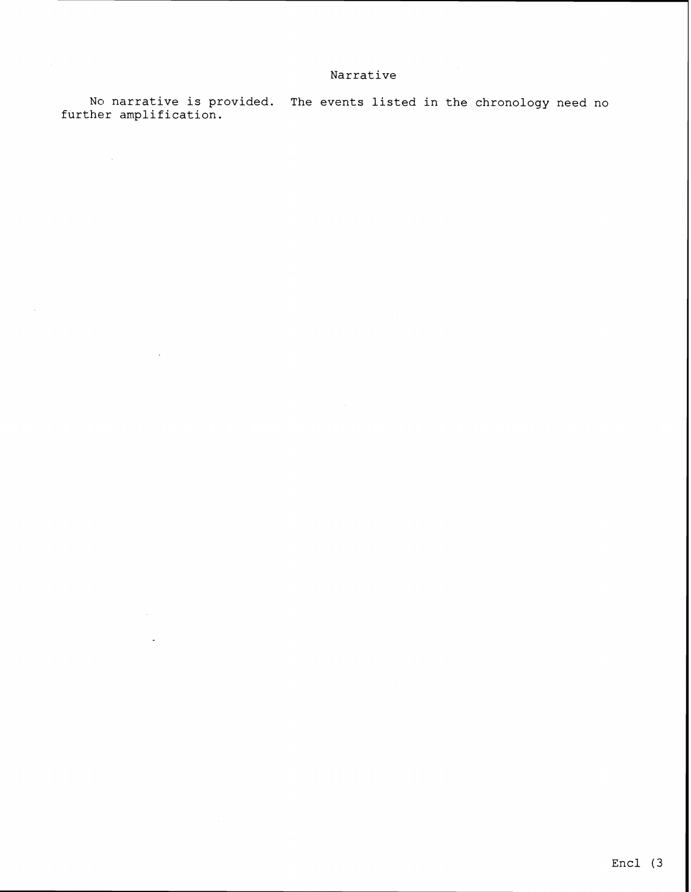## **Narrative**

No narrative is provided. The events listed in the chronology need no **further amplification.** 

 $\mathcal{A}^{\mathcal{A}}$